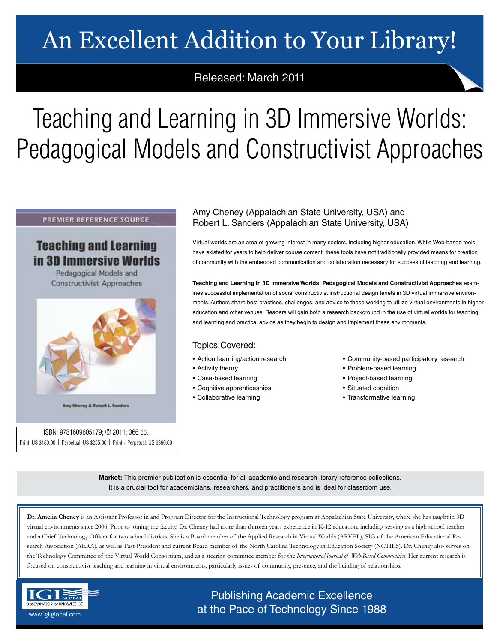# An Excellent Addition to Your Library!

## Released: March 2011

# Teaching and Learning in 3D Immersive Worlds: Pedagogical Models and Constructivist Approaches

### PREMIER REFERENCE SOURCE

# **Teaching and Learning** in 3D Immersive Worlds

Pedagogical Models and **Constructivist Approaches** 



Amy Choney & Robert L. Sanders

ISBN: 9781609605179; © 2011; 366 pp. Print: US \$180.00 | Perpetual: US \$255.00 | Print + Perpetual: US \$360.00

## Amy Cheney (Appalachian State University, USA) and Robert L. Sanders (Appalachian State University, USA)

Virtual worlds are an area of growing interest in many sectors, including higher education. While Web-based tools have existed for years to help deliver course content, these tools have not traditionally provided means for creation of community with the embedded communication and collaboration necessary for successful teaching and learning.

**Teaching and Learning in 3D Immersive Worlds: Pedagogical Models and Constructivist Approaches** examines successful implementation of social constructivist instructional design tenets in 3D virtual immersive environments. Authors share best practices, challenges, and advice to those working to utilize virtual environments in higher education and other venues. Readers will gain both a research background in the use of virtual worlds for teaching and learning and practical advice as they begin to design and implement these environments.

### Topics Covered:

- Action learning/action research
- Activity theory
- Case-based learning
- Cognitive apprenticeships
- Collaborative learning
- Community-based participatory research
- Problem-based learning
- Project-based learning
- Situated cognition
- Transformative learning

**Market:** This premier publication is essential for all academic and research library reference collections. It is a crucial tool for academicians, researchers, and practitioners and is ideal for classroom use.

**Dr. Amelia Cheney** is an Assistant Professor in and Program Director for the Instructional Technology program at Appalachian State University, where she has taught in 3D virtual environments since 2006. Prior to joining the faculty, Dr. Cheney had more than thirteen years experience in K-12 education, including serving as a high school teacher and a Chief Technology Officer for two school districts. She is a Board member of the Applied Research in Virtual Worlds (ARVEL), SIG of the American Educational Research Association (AERA), as well as Past-President and current Board member of the North Carolina Technology in Education Society (NCTIES). Dr. Cheney also serves on the Technology Committee of the Virtual World Consortium, and as a steering committee member for the *International Journal of Web-Based Communities*. Her current research is focused on constructivist teaching and learning in virtual environments, particularly issues of community, presence, and the building of relationships.



Publishing Academic Excellence **ALSEMINATOR OF KNOWLEDGE CONCEDUTE CONCEDUTE CONCEDUTE CONCEDUTE CONCEDUTE CONCEDUTE CONCEDUTE CONCEDUTE CONCE**